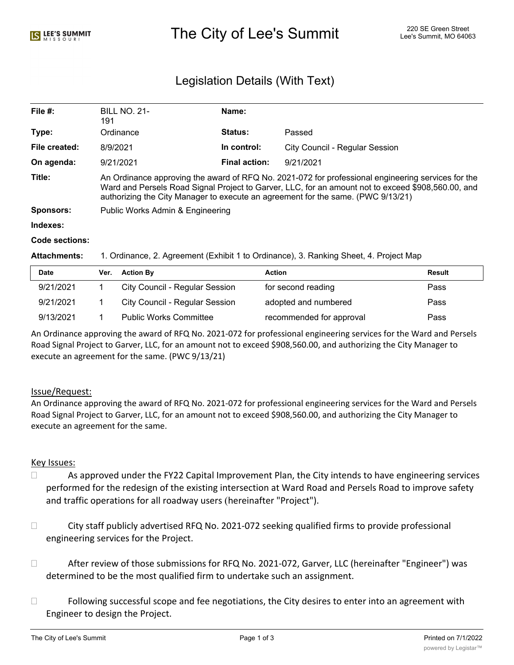# The City of Lee's Summit The City of Lee's Summit 220 SE Green Street

# Legislation Details (With Text)

| File $#$ :     | <b>BILL NO. 21-</b><br>191                                                                                                                                                                                                                                                                   | Name:                |                                       |  |  |
|----------------|----------------------------------------------------------------------------------------------------------------------------------------------------------------------------------------------------------------------------------------------------------------------------------------------|----------------------|---------------------------------------|--|--|
| Type:          | Ordinance                                                                                                                                                                                                                                                                                    | <b>Status:</b>       | Passed                                |  |  |
| File created:  | 8/9/2021                                                                                                                                                                                                                                                                                     | In control:          | <b>City Council - Regular Session</b> |  |  |
| On agenda:     | 9/21/2021                                                                                                                                                                                                                                                                                    | <b>Final action:</b> | 9/21/2021                             |  |  |
| Title:         | An Ordinance approving the award of RFQ No. 2021-072 for professional engineering services for the<br>Ward and Persels Road Signal Project to Garver, LLC, for an amount not to exceed \$908,560.00, and<br>authorizing the City Manager to execute an agreement for the same. (PWC 9/13/21) |                      |                                       |  |  |
| Sponsors:      | Public Works Admin & Engineering                                                                                                                                                                                                                                                             |                      |                                       |  |  |
| Indexes:       |                                                                                                                                                                                                                                                                                              |                      |                                       |  |  |
| Code sections: |                                                                                                                                                                                                                                                                                              |                      |                                       |  |  |

#### **Attachments:** 1. Ordinance, 2. Agreement (Exhibit 1 to Ordinance), 3. Ranking Sheet, 4. Project Map

| Date      | Ver. | <b>Action By</b>                      | Action                   | Result |
|-----------|------|---------------------------------------|--------------------------|--------|
| 9/21/2021 |      | City Council - Regular Session        | for second reading       | Pass   |
| 9/21/2021 |      | <b>City Council - Regular Session</b> | adopted and numbered     | Pass   |
| 9/13/2021 |      | <b>Public Works Committee</b>         | recommended for approval | Pass   |

An Ordinance approving the award of RFQ No. 2021-072 for professional engineering services for the Ward and Persels Road Signal Project to Garver, LLC, for an amount not to exceed \$908,560.00, and authorizing the City Manager to execute an agreement for the same. (PWC 9/13/21)

#### Issue/Request:

An Ordinance approving the award of RFQ No. 2021-072 for professional engineering services for the Ward and Persels Road Signal Project to Garver, LLC, for an amount not to exceed \$908,560.00, and authorizing the City Manager to execute an agreement for the same.

#### Key Issues:

- $\Box$  As approved under the FY22 Capital Improvement Plan, the City intends to have engineering services performed for the redesign of the existing intersection at Ward Road and Persels Road to improve safety and traffic operations for all roadway users (hereinafter "Project").
- □ City staff publicly advertised RFQ No. 2021-072 seeking qualified firms to provide professional engineering services for the Project.
- □ After review of those submissions for RFQ No. 2021-072, Garver, LLC (hereinafter "Engineer") was determined to be the most qualified firm to undertake such an assignment.
- $\Box$  Following successful scope and fee negotiations, the City desires to enter into an agreement with Engineer to design the Project.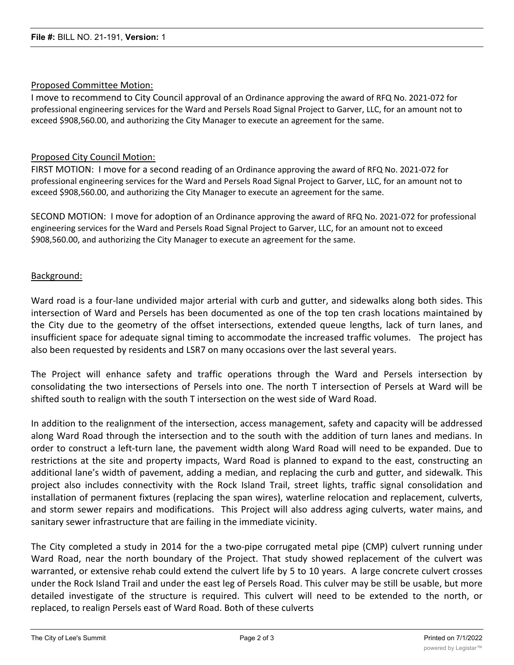# Proposed Committee Motion:

I move to recommend to City Council approval of an Ordinance approving the award of RFQ No. 2021-072 for professional engineering services for the Ward and Persels Road Signal Project to Garver, LLC, for an amount not to exceed \$908,560.00, and authorizing the City Manager to execute an agreement for the same.

# Proposed City Council Motion:

FIRST MOTION: I move for a second reading of an Ordinance approving the award of RFQ No. 2021-072 for professional engineering services for the Ward and Persels Road Signal Project to Garver, LLC, for an amount not to exceed \$908,560.00, and authorizing the City Manager to execute an agreement for the same.

SECOND MOTION: I move for adoption of an Ordinance approving the award of RFQ No. 2021-072 for professional engineering services for the Ward and Persels Road Signal Project to Garver, LLC, for an amount not to exceed \$908,560.00, and authorizing the City Manager to execute an agreement for the same.

# Background:

Ward road is a four-lane undivided major arterial with curb and gutter, and sidewalks along both sides. This intersection of Ward and Persels has been documented as one of the top ten crash locations maintained by the City due to the geometry of the offset intersections, extended queue lengths, lack of turn lanes, and insufficient space for adequate signal timing to accommodate the increased traffic volumes. The project has also been requested by residents and LSR7 on many occasions over the last several years.

The Project will enhance safety and traffic operations through the Ward and Persels intersection by consolidating the two intersections of Persels into one. The north T intersection of Persels at Ward will be shifted south to realign with the south T intersection on the west side of Ward Road.

In addition to the realignment of the intersection, access management, safety and capacity will be addressed along Ward Road through the intersection and to the south with the addition of turn lanes and medians. In order to construct a left-turn lane, the pavement width along Ward Road will need to be expanded. Due to restrictions at the site and property impacts, Ward Road is planned to expand to the east, constructing an additional lane's width of pavement, adding a median, and replacing the curb and gutter, and sidewalk. This project also includes connectivity with the Rock Island Trail, street lights, traffic signal consolidation and installation of permanent fixtures (replacing the span wires), waterline relocation and replacement, culverts, and storm sewer repairs and modifications. This Project will also address aging culverts, water mains, and sanitary sewer infrastructure that are failing in the immediate vicinity.

The City completed a study in 2014 for the a two-pipe corrugated metal pipe (CMP) culvert running under Ward Road, near the north boundary of the Project. That study showed replacement of the culvert was warranted, or extensive rehab could extend the culvert life by 5 to 10 years. A large concrete culvert crosses under the Rock Island Trail and under the east leg of Persels Road. This culver may be still be usable, but more detailed investigate of the structure is required. This culvert will need to be extended to the north, or replaced, to realign Persels east of Ward Road. Both of these culverts